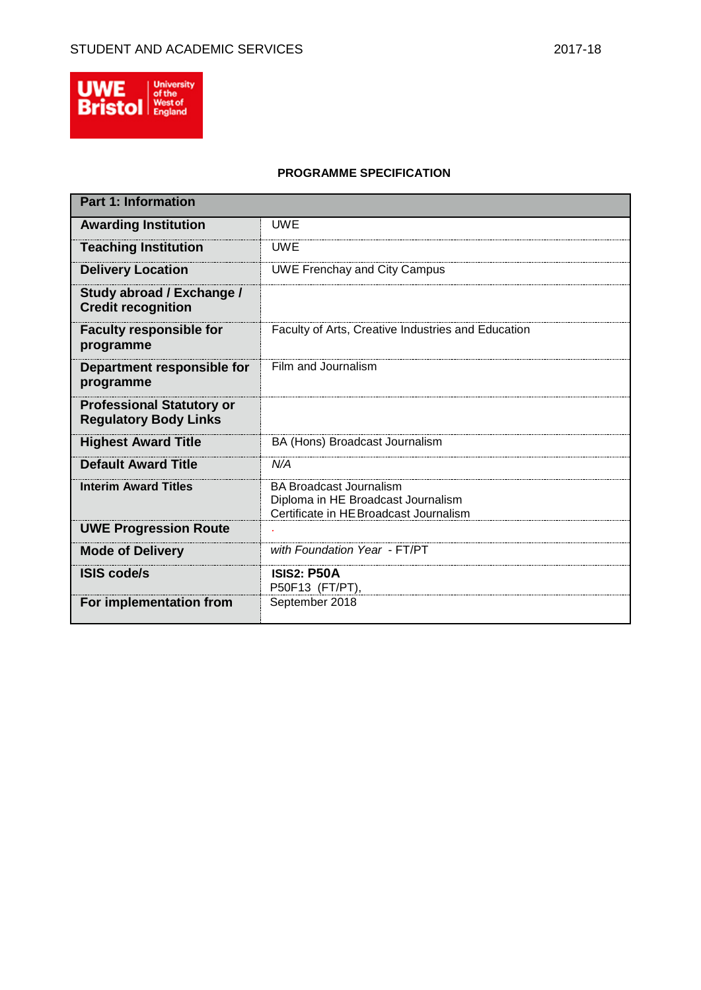

# **PROGRAMME SPECIFICATION**

| <b>Part 1: Information</b>                                       |                                                                                                                |
|------------------------------------------------------------------|----------------------------------------------------------------------------------------------------------------|
| <b>Awarding Institution</b>                                      | UWE                                                                                                            |
| <b>Teaching Institution</b>                                      | <b>UWE</b>                                                                                                     |
| <b>Delivery Location</b>                                         | <b>UWE Frenchay and City Campus</b>                                                                            |
| Study abroad / Exchange /<br><b>Credit recognition</b>           |                                                                                                                |
| <b>Faculty responsible for</b><br>programme                      | Faculty of Arts, Creative Industries and Education                                                             |
| Department responsible for<br>programme                          | Film and Journalism                                                                                            |
| <b>Professional Statutory or</b><br><b>Regulatory Body Links</b> |                                                                                                                |
| <b>Highest Award Title</b>                                       | BA (Hons) Broadcast Journalism                                                                                 |
| <b>Default Award Title</b>                                       | N/A                                                                                                            |
| <b>Interim Award Titles</b>                                      | <b>BA Broadcast Journalism</b><br>Diploma in HE Broadcast Journalism<br>Certificate in HE Broadcast Journalism |
| <b>UWE Progression Route</b>                                     |                                                                                                                |
| <b>Mode of Delivery</b>                                          | with Foundation Year - FT/PT                                                                                   |
| <b>ISIS code/s</b>                                               | <b>ISIS2: P50A</b><br>P50F13 (FT/PT)                                                                           |
| For implementation from                                          | September 2018                                                                                                 |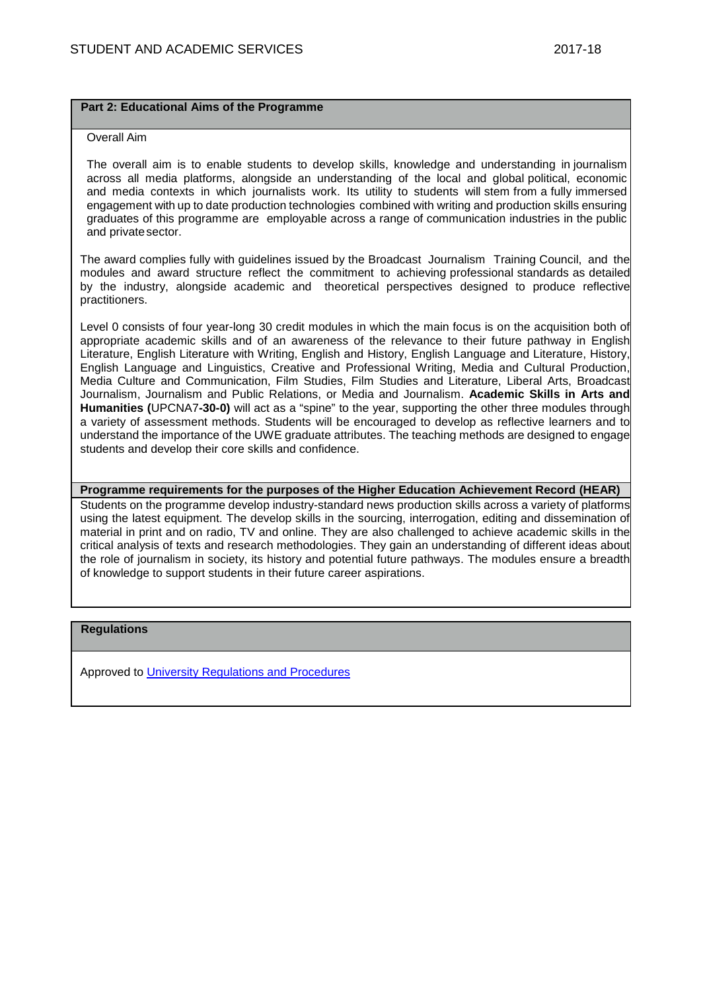## **Part 2: Educational Aims of the Programme**

### Overall Aim

The overall aim is to enable students to develop skills, knowledge and understanding in journalism across all media platforms, alongside an understanding of the local and global political, economic and media contexts in which journalists work. Its utility to students will stem from a fully immersed engagement with up to date production technologies combined with writing and production skills ensuring graduates of this programme are employable across a range of communication industries in the public and privatesector.

The award complies fully with guidelines issued by the Broadcast Journalism Training Council, and the modules and award structure reflect the commitment to achieving professional standards as detailed by the industry, alongside academic and theoretical perspectives designed to produce reflective practitioners.

Level 0 consists of four year-long 30 credit modules in which the main focus is on the acquisition both of appropriate academic skills and of an awareness of the relevance to their future pathway in English Literature, English Literature with Writing, English and History, English Language and Literature, History, English Language and Linguistics, Creative and Professional Writing, Media and Cultural Production, Media Culture and Communication, Film Studies, Film Studies and Literature, Liberal Arts, Broadcast Journalism, Journalism and Public Relations, or Media and Journalism. **Academic Skills in Arts and Humanities (**UPCNA7**-30-0)** will act as a "spine" to the year, supporting the other three modules through a variety of assessment methods. Students will be encouraged to develop as reflective learners and to understand the importance of the UWE graduate attributes. The teaching methods are designed to engage students and develop their core skills and confidence.

**Programme requirements for the purposes of the Higher Education Achievement Record (HEAR)**

Students on the programme develop industry-standard news production skills across a variety of platforms using the latest equipment. The develop skills in the sourcing, interrogation, editing and dissemination of material in print and on radio, TV and online. They are also challenged to achieve academic skills in the critical analysis of texts and research methodologies. They gain an understanding of different ideas about the role of journalism in society, its history and potential future pathways. The modules ensure a breadth of knowledge to support students in their future career aspirations.

## **Regulations**

Approved to [University Regulations and Procedures](http://www1.uwe.ac.uk/students/academicadvice/assessments/regulationsandprocedures.aspx)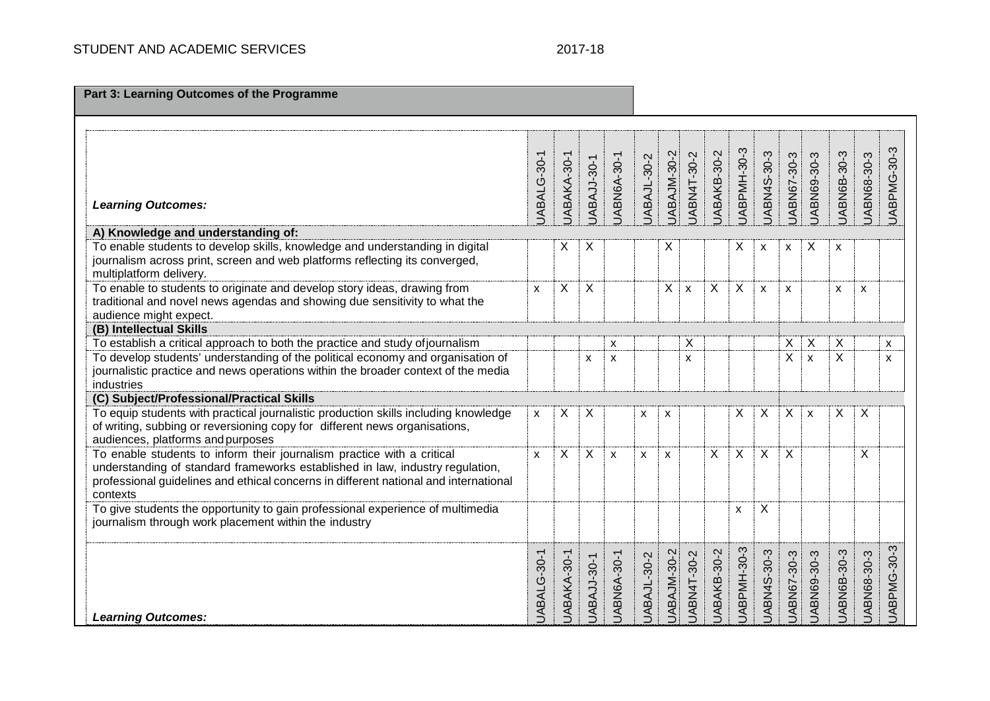| Part 3: Learning Outcomes of the Programme                                                                                                                                                                                                                  |              |             |                    |                           |             |             |                    |                    |                           |                           |                    |                           |             |             |             |
|-------------------------------------------------------------------------------------------------------------------------------------------------------------------------------------------------------------------------------------------------------------|--------------|-------------|--------------------|---------------------------|-------------|-------------|--------------------|--------------------|---------------------------|---------------------------|--------------------|---------------------------|-------------|-------------|-------------|
| <b>Learning Outcomes:</b>                                                                                                                                                                                                                                   | JABALG-30-1  | JABAKA-30-1 | JABAJJ-30-1        | JABN6A-30-1               | JABAJL-30-2 | JABAJM-30-2 | JABN4T-30-2        | JABAKB-30-2        | JABPMH-30-3               | JABN4S-30-3               | JABN67-30-3        | JABN69-30-3               | JABN6B-30-3 | JABN68-30-3 | UABPMG-30-3 |
| A) Knowledge and understanding of:                                                                                                                                                                                                                          |              |             |                    |                           |             |             |                    |                    |                           |                           |                    |                           |             |             |             |
| To enable students to develop skills, knowledge and understanding in digital<br>journalism across print, screen and web platforms reflecting its converged,<br>multiplatform delivery.                                                                      |              | Χ           | X                  |                           |             | X           |                    |                    | X                         | X                         | X                  | X                         | X           |             |             |
| To enable to students to originate and develop story ideas, drawing from<br>traditional and novel news agendas and showing due sensitivity to what the<br>audience might expect.                                                                            | $\mathsf{x}$ | X           | X                  |                           |             | X           | $\pmb{\mathsf{x}}$ | X                  | $\sf X$                   | $\pmb{\times}$            | $\pmb{\mathsf{x}}$ |                           | X           | X           |             |
| (B) Intellectual Skills                                                                                                                                                                                                                                     |              |             |                    |                           |             |             |                    |                    |                           |                           |                    |                           |             |             |             |
| To establish a critical approach to both the practice and study of journalism                                                                                                                                                                               |              |             |                    | X                         |             |             | X                  |                    |                           |                           | X                  | X                         | X           |             | X           |
| To develop students' understanding of the political economy and organisation of<br>journalistic practice and news operations within the broader context of the media<br>industries                                                                          |              |             | X                  | $\boldsymbol{\mathsf{x}}$ |             |             | X                  |                    |                           |                           | X                  | $\mathsf{x}$              | X           |             | X           |
| (C) Subject/Professional/Practical Skills                                                                                                                                                                                                                   |              |             |                    |                           |             |             |                    |                    |                           |                           |                    |                           |             |             |             |
| To equip students with practical journalistic production skills including knowledge<br>of writing, subbing or reversioning copy for different news organisations,<br>audiences, platforms and purposes                                                      | X            | X           | X                  |                           | X           | X           |                    |                    | X                         | X                         | X                  | $\boldsymbol{\mathsf{x}}$ | X           | X           |             |
| To enable students to inform their journalism practice with a critical<br>understanding of standard frameworks established in law, industry regulation,<br>professional guidelines and ethical concerns in different national and international<br>contexts | X            | X           | X                  | X                         | X           | X           |                    | X                  | $\sf X$                   | $\boldsymbol{\mathsf{X}}$ | X                  |                           |             | X           |             |
| To give students the opportunity to gain professional experience of multimedia<br>journalism through work placement within the industry                                                                                                                     |              |             |                    |                           |             |             |                    |                    | $\boldsymbol{\mathsf{x}}$ | X                         |                    |                           |             |             |             |
| <b>Learning Outcomes:</b>                                                                                                                                                                                                                                   | JABALG-30-1  | JABAKA-30-1 | <b>UABAJJ-30-1</b> | <b>UABN6A-30-1</b>        | UABAJL-30-2 | UABAJM-30-2 | UABN4T-30-2        | <b>UABAKB-30-2</b> | UABPMH-30-3               | UABN4S-30-3               | UABN67-30-3        | UABN69-30-3               | UABN6B-30-3 | JABN68-30-3 | UABPMG-30-3 |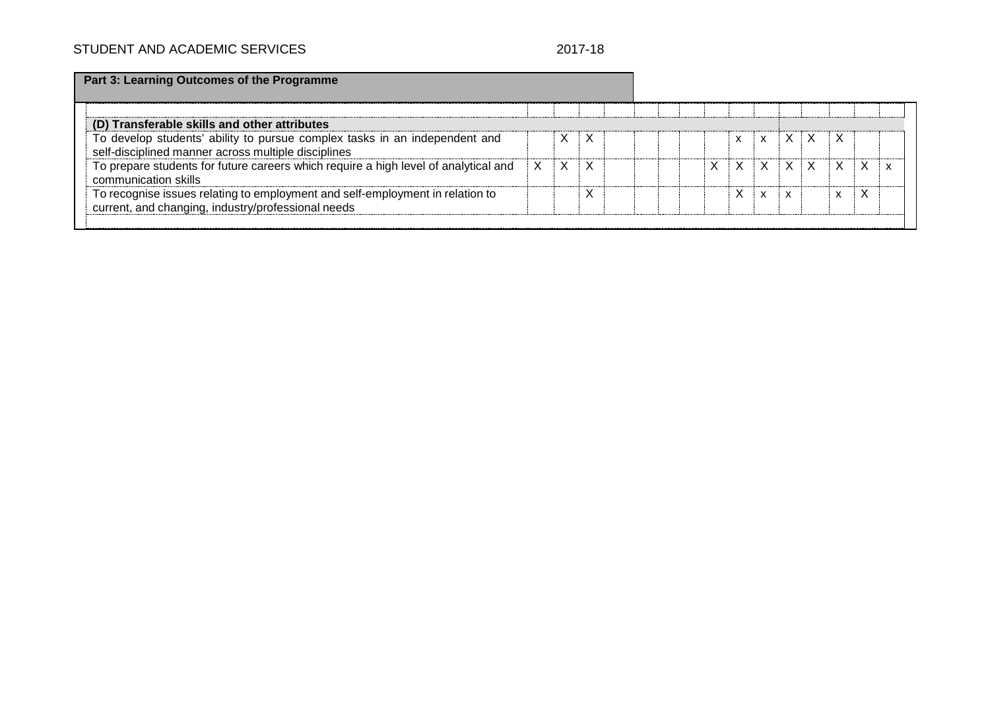| Part 3: Learning Outcomes of the Programme |                                                                                                                                     |   |   |   |  |  |   |   |   |              |                           |   |   |   |
|--------------------------------------------|-------------------------------------------------------------------------------------------------------------------------------------|---|---|---|--|--|---|---|---|--------------|---------------------------|---|---|---|
|                                            |                                                                                                                                     |   |   |   |  |  |   |   |   |              |                           |   |   |   |
|                                            | (D) Transferable skills and other attributes                                                                                        |   |   |   |  |  |   |   |   |              |                           |   |   |   |
|                                            | To develop students' ability to pursue complex tasks in an independent and<br>self-disciplined manner across multiple disciplines   |   | X | X |  |  |   | X | X | X.           | X                         | X |   |   |
|                                            | To prepare students for future careers which require a high level of analytical and<br>communication skills                         | X | X | X |  |  | X | X | X | $\mathsf{X}$ | $\boldsymbol{\mathsf{x}}$ | X | X | x |
|                                            | To recognise issues relating to employment and self-employment in relation to<br>current, and changing, industry/professional needs |   |   |   |  |  |   | X | X | x            |                           | x |   |   |
|                                            |                                                                                                                                     |   |   |   |  |  |   |   |   |              |                           |   |   |   |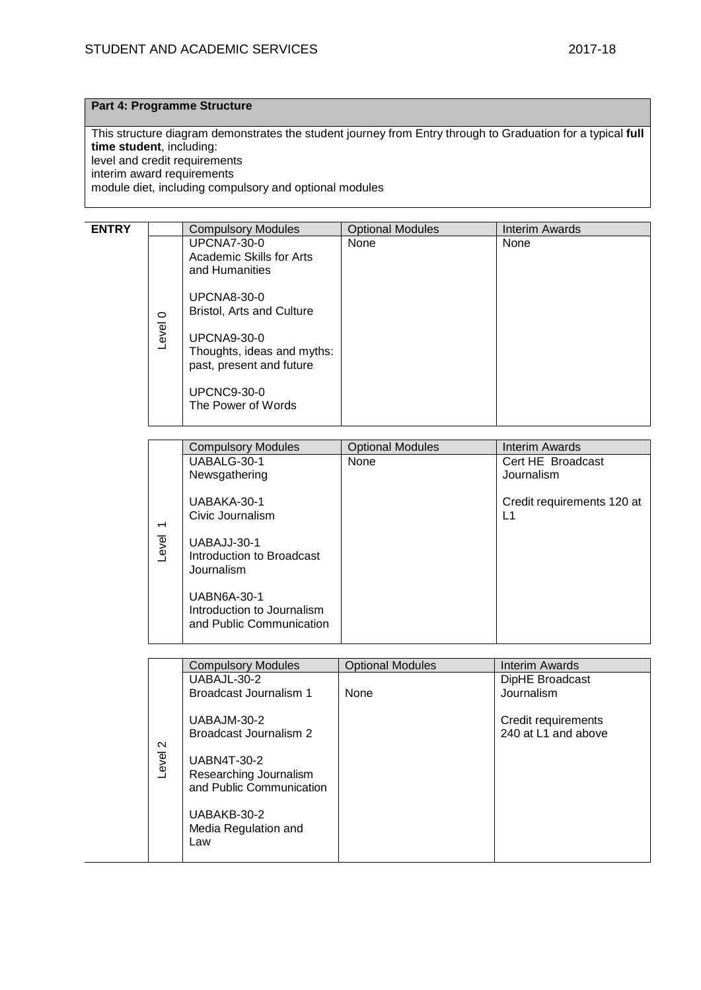# **Part 4: Programme Structure**

This structure diagram demonstrates the student journey from Entry through to Graduation for a typical **full time student**, including: level and credit requirements interim award requirements module diet, including compulsory and optional modules

| <b>ENTRY</b> |                  | <b>Compulsory Modules</b>                                                                                                                                                                                                                              | <b>Optional Modules</b> | Interim Awards |
|--------------|------------------|--------------------------------------------------------------------------------------------------------------------------------------------------------------------------------------------------------------------------------------------------------|-------------------------|----------------|
|              | $\circ$<br>Level | <b>UPCNA7-30-0</b><br>Academic Skills for Arts<br>and Humanities<br><b>UPCNA8-30-0</b><br><b>Bristol, Arts and Culture</b><br><b>UPCNA9-30-0</b><br>Thoughts, ideas and myths:<br>past, present and future<br><b>UPCNC9-30-0</b><br>The Power of Words | None                    | None           |
|              |                  |                                                                                                                                                                                                                                                        |                         |                |

|                          | <b>Compulsory Modules</b>                                                    | <b>Optional Modules</b> | Interim Awards                   |
|--------------------------|------------------------------------------------------------------------------|-------------------------|----------------------------------|
|                          | UABALG-30-1                                                                  | None                    | Cert HE Broadcast                |
|                          | Newsgathering                                                                |                         | Journalism                       |
| $\overline{\phantom{0}}$ | UABAKA-30-1<br>Civic Journalism                                              |                         | Credit requirements 120 at<br>L1 |
| evel                     | UABAJJ-30-1<br>Introduction to Broadcast<br>Journalism                       |                         |                                  |
|                          | <b>UABN6A-30-1</b><br>Introduction to Journalism<br>and Public Communication |                         |                                  |

|                 | <b>Compulsory Modules</b>                                                                                                                                       | <b>Optional Modules</b> | Interim Awards                             |
|-----------------|-----------------------------------------------------------------------------------------------------------------------------------------------------------------|-------------------------|--------------------------------------------|
|                 | UABAJL-30-2                                                                                                                                                     |                         | DipHE Broadcast                            |
|                 | Broadcast Journalism 1                                                                                                                                          | <b>None</b>             | Journalism                                 |
| $\sim$<br>Level | UABAJM-30-2<br>Broadcast Journalism 2<br><b>UABN4T-30-2</b><br>Researching Journalism<br>and Public Communication<br>UABAKB-30-2<br>Media Regulation and<br>Law |                         | Credit requirements<br>240 at L1 and above |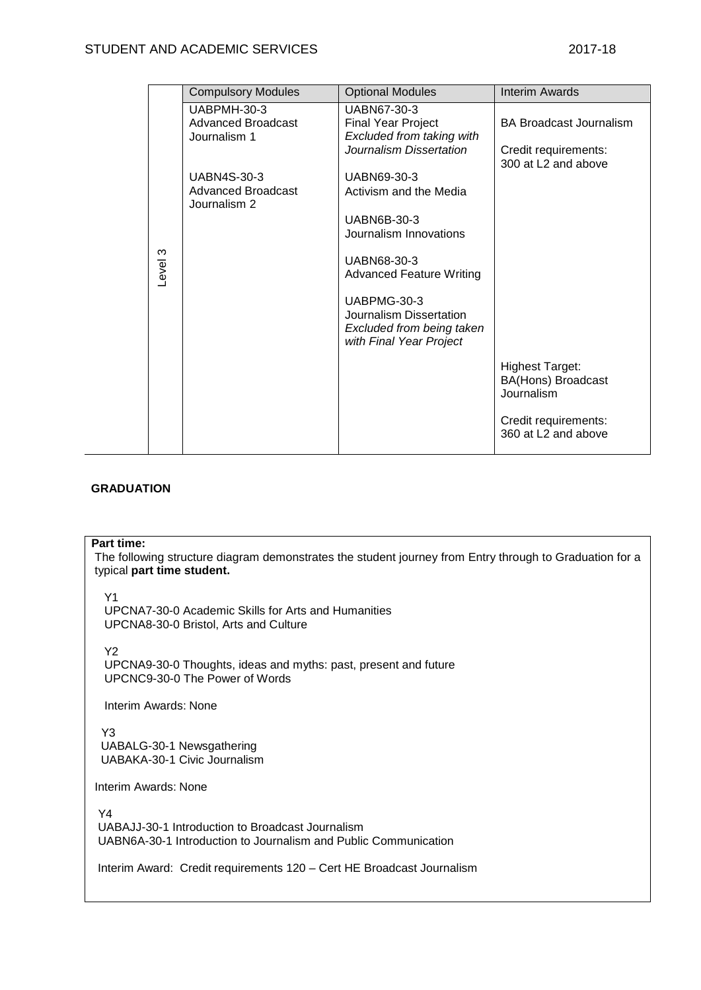|         | <b>Compulsory Modules</b>                                | <b>Optional Modules</b>                                               | <b>Interim Awards</b>                       |
|---------|----------------------------------------------------------|-----------------------------------------------------------------------|---------------------------------------------|
|         | UABPMH-30-3<br><b>Advanced Broadcast</b><br>Journalism 1 | UABN67-30-3<br><b>Final Year Project</b><br>Excluded from taking with | BA Broadcast Journalism                     |
|         |                                                          | Journalism Dissertation                                               | Credit requirements:<br>300 at L2 and above |
|         | <b>UABN4S-30-3</b>                                       | UABN69-30-3                                                           |                                             |
|         | <b>Advanced Broadcast</b><br>Journalism 2                | Activism and the Media                                                |                                             |
|         |                                                          | <b>UABN6B-30-3</b>                                                    |                                             |
|         |                                                          | Journalism Innovations                                                |                                             |
| Level 3 |                                                          | UABN68-30-3                                                           |                                             |
|         |                                                          | <b>Advanced Feature Writing</b>                                       |                                             |
|         |                                                          | UABPMG-30-3<br>Journalism Dissertation                                |                                             |
|         |                                                          | Excluded from being taken<br>with Final Year Project                  |                                             |
|         |                                                          |                                                                       | <b>Highest Target:</b>                      |
|         |                                                          |                                                                       | <b>BA(Hons) Broadcast</b><br>Journalism     |
|         |                                                          |                                                                       | Credit requirements:<br>360 at L2 and above |
|         |                                                          |                                                                       |                                             |

# **GRADUATION**

#### **Part time:**

The following structure diagram demonstrates the student journey from Entry through to Graduation for a typical **part time student.**

Y1

 UPCNA7-30-0 Academic Skills for Arts and Humanities UPCNA8-30-0 Bristol, Arts and Culture

Y2

 UPCNA9-30-0 Thoughts, ideas and myths: past, present and future UPCNC9-30-0 The Power of Words

**Interim Awards: None** 

Y3

UABALG-30-1 Newsgathering UABAKA-30-1 Civic Journalism

Interim Awards: None

Y4 UABAJJ-30-1 Introduction to Broadcast Journalism UABN6A-30-1 Introduction to Journalism and Public Communication

Interim Award: Credit requirements 120 – Cert HE Broadcast Journalism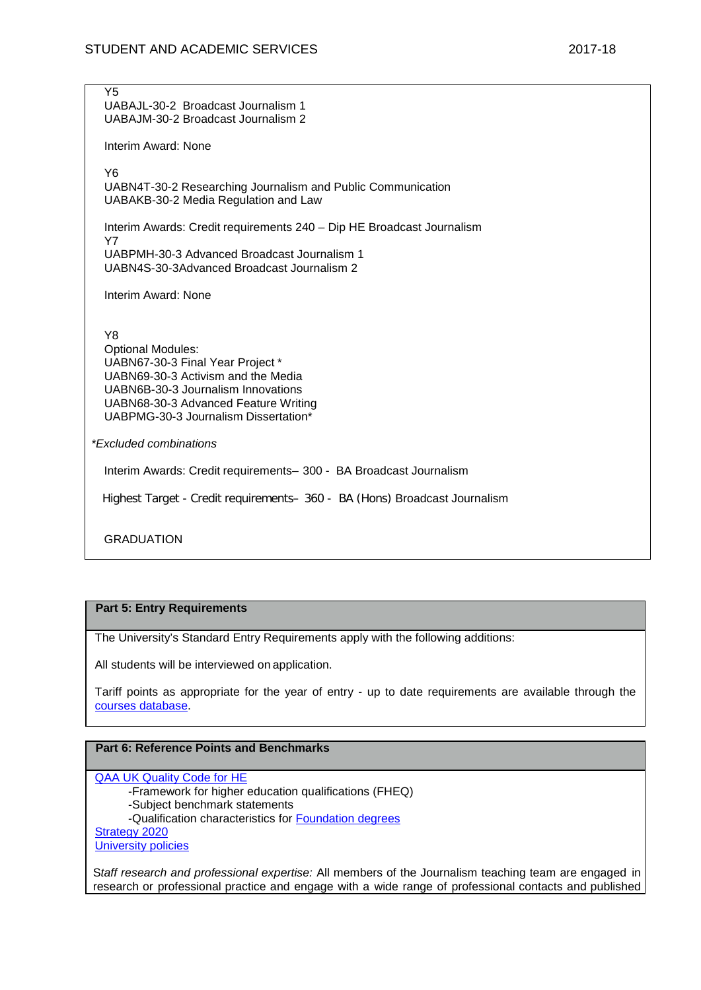Y5 UABAJL-30-2 Broadcast Journalism 1 UABAJM-30-2 Broadcast Journalism 2 Interim Award: None Y6 UABN4T-30-2 Researching Journalism and Public Communication UABAKB-30-2 Media Regulation and Law Interim Awards: Credit requirements 240 – Dip HE Broadcast Journalism Y7 UABPMH-30-3 Advanced Broadcast Journalism 1 UABN4S-30-3Advanced Broadcast Journalism 2 Interim Award: None Y8 Optional Modules: UABN67-30-3 Final Year Project \* UABN69-30-3 Activism and the Media UABN6B-30-3 Journalism Innovations UABN68-30-3 Advanced Feature Writing UABPMG-30-3 Journalism Dissertation\* *\*Excluded combinations* Interim Awards: Credit requirements– 300 - BA Broadcast Journalism Highest Target - Credit requirements– 360 - BA (Hons) Broadcast Journalism **GRADUATION** 

# **Part 5: Entry Requirements**

The University's Standard Entry Requirements apply with the following additions:

All students will be interviewed on application.

Tariff points as appropriate for the year of entry - up to date requirements are available through the [courses database.](http://www1.uwe.ac.uk/whatcanistudy/courses)

# **Part 6: Reference Points and Benchmarks**

[QAA UK Quality Code for HE](http://www.qaa.ac.uk/assuringstandardsandquality/quality-code/Pages/default.aspx)

-Framework for higher education qualifications (FHEQ)

-Subject benchmark statements

-Qualification characteristics for [Foundation degrees](http://www.qaa.ac.uk/en/Publications/Documents/Foundation-degree-qualification-benchmark-2010.pdf)

[Strategy 2020](http://www1.uwe.ac.uk/about/corporateinformation/strategy.aspx)

[University policies](http://www1.uwe.ac.uk/aboutus/policies)

S*taff research and professional expertise:* All members of the Journalism teaching team are engaged in research or professional practice and engage with a wide range of professional contacts and published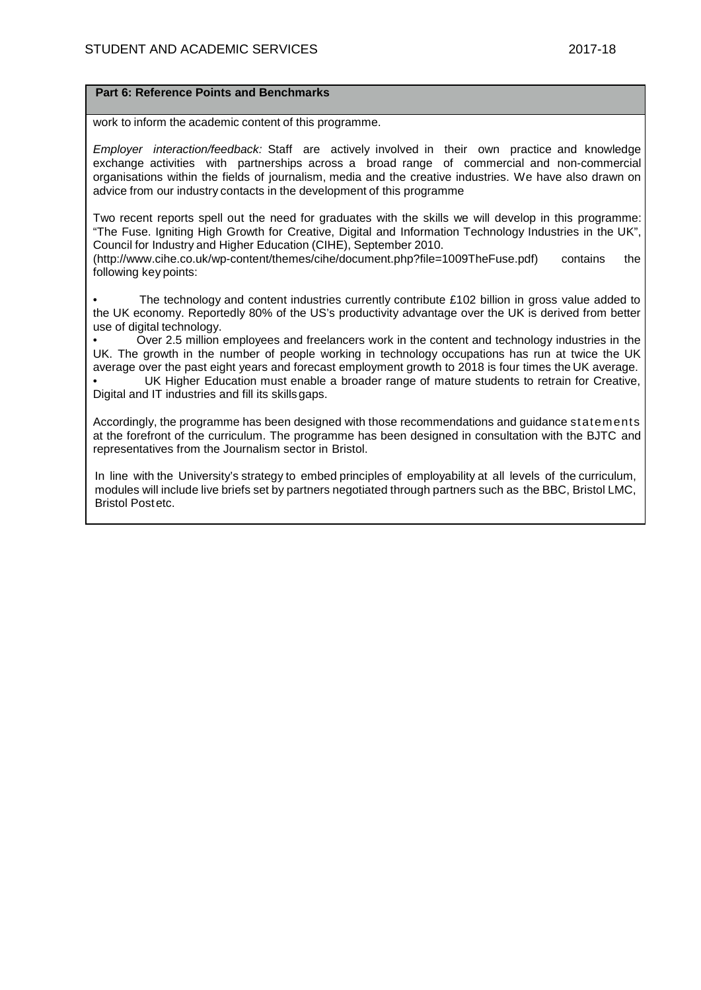## **Part 6: Reference Points and Benchmarks**

work to inform the academic content of this programme.

*Employer interaction/feedback:* Staff are actively involved in their own practice and knowledge exchange activities with partnerships across a broad range of commercial and non-commercial organisations within the fields of journalism, media and the creative industries. We have also drawn on advice from our industry contacts in the development of this programme

Two recent reports spell out the need for graduates with the skills we will develop in this programme: "The Fuse. Igniting High Growth for Creative, Digital and Information Technology Industries in the UK", Council for Industry and Higher Education (CIHE), September 2010.

[\(http://www.cihe.co.uk/wp-content/themes/cihe/document.php?file=1009TheFuse.pdf\)](http://www.cihe.co.uk/wp-content/themes/cihe/document.php?file=1009TheFuse.pdf)) contains the following key points:

The technology and content industries currently contribute  $£102$  billion in gross value added to the UK economy. Reportedly 80% of the US's productivity advantage over the UK is derived from better use of digital technology.

• Over 2.5 million employees and freelancers work in the content and technology industries in the UK. The growth in the number of people working in technology occupations has run at twice the UK average over the past eight years and forecast employment growth to 2018 is four times the UK average.

UK Higher Education must enable a broader range of mature students to retrain for Creative, Digital and IT industries and fill its skillsgaps.

Accordingly, the programme has been designed with those recommendations and guidance statements at the forefront of the curriculum. The programme has been designed in consultation with the BJTC and representatives from the Journalism sector in Bristol.

In line with the University's strategy to embed principles of employability at all levels of the curriculum, modules will include live briefs set by partners negotiated through partners such as the BBC, Bristol LMC, Bristol Postetc.